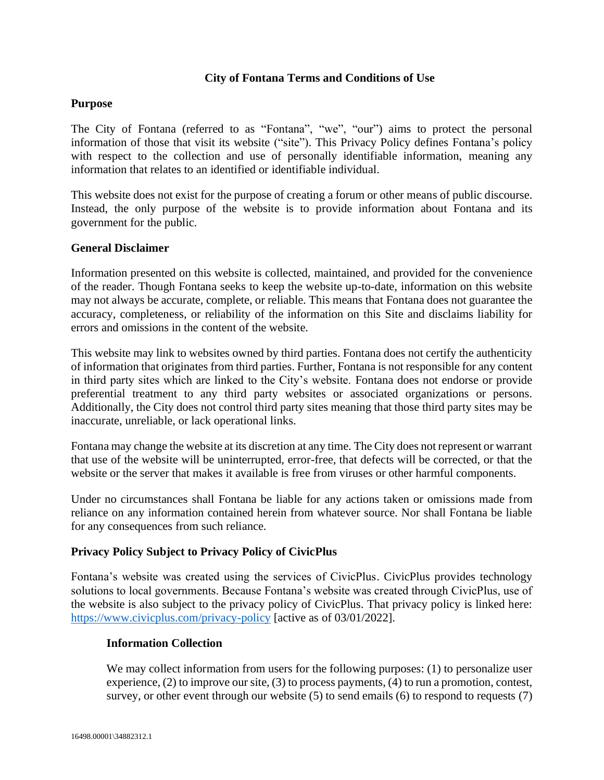# **City of Fontana Terms and Conditions of Use**

# **Purpose**

The City of Fontana (referred to as "Fontana", "we", "our") aims to protect the personal information of those that visit its website ("site"). This Privacy Policy defines Fontana's policy with respect to the collection and use of personally identifiable information, meaning any information that relates to an identified or identifiable individual.

This website does not exist for the purpose of creating a forum or other means of public discourse. Instead, the only purpose of the website is to provide information about Fontana and its government for the public.

### **General Disclaimer**

Information presented on this website is collected, maintained, and provided for the convenience of the reader. Though Fontana seeks to keep the website up-to-date, information on this website may not always be accurate, complete, or reliable. This means that Fontana does not guarantee the accuracy, completeness, or reliability of the information on this Site and disclaims liability for errors and omissions in the content of the website.

This website may link to websites owned by third parties. Fontana does not certify the authenticity of information that originates from third parties. Further, Fontana is not responsible for any content in third party sites which are linked to the City's website. Fontana does not endorse or provide preferential treatment to any third party websites or associated organizations or persons. Additionally, the City does not control third party sites meaning that those third party sites may be inaccurate, unreliable, or lack operational links.

Fontana may change the website at its discretion at any time. The City does not represent or warrant that use of the website will be uninterrupted, error-free, that defects will be corrected, or that the website or the server that makes it available is free from viruses or other harmful components.

Under no circumstances shall Fontana be liable for any actions taken or omissions made from reliance on any information contained herein from whatever source. Nor shall Fontana be liable for any consequences from such reliance.

# **Privacy Policy Subject to Privacy Policy of CivicPlus**

Fontana's website was created using the services of CivicPlus. CivicPlus provides technology solutions to local governments. Because Fontana's website was created through CivicPlus, use of the website is also subject to the privacy policy of CivicPlus. That privacy policy is linked here: <https://www.civicplus.com/privacy-policy> [active as of 03/01/2022].

#### **Information Collection**

We may collect information from users for the following purposes: (1) to personalize user experience, (2) to improve our site, (3) to process payments, (4) to run a promotion, contest, survey, or other event through our website (5) to send emails (6) to respond to requests (7)